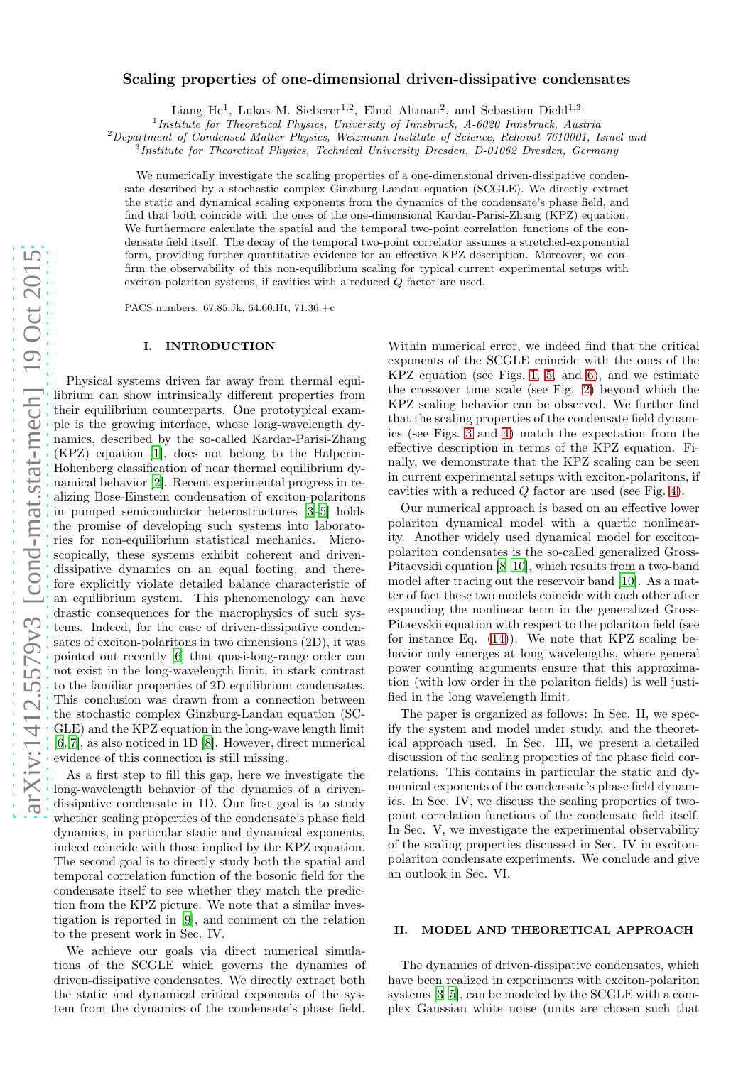# arXiv:1412.5579v3 [cond-mat.stat-mech] 19 Oct 2015 [arXiv:1412.5579v3 \[cond-mat.stat-mech\] 19 Oct 2015](http://arxiv.org/abs/1412.5579v3)

# Scaling properties of one-dimensional driven-dissipative condensates

Liang He<sup>1</sup>, Lukas M. Sieberer<sup>1,2</sup>, Ehud Altman<sup>2</sup>, and Sebastian Diehl<sup>1,3</sup>

<sup>1</sup>Institute for Theoretical Physics, University of Innsbruck, A-6020 Innsbruck, Austria

<sup>2</sup>Department of Condensed Matter Physics, Weizmann Institute of Science, Rehovot 7610001, Israel and

<sup>3</sup>Institute for Theoretical Physics, Technical University Dresden, D-01062 Dresden, Germany

We numerically investigate the scaling properties of a one-dimensional driven-dissipative condensate described by a stochastic complex Ginzburg-Landau equation (SCGLE). We directly extract the static and dynamical scaling exponents from the dynamics of the condensate's phase field, and find that both coincide with the ones of the one-dimensional Kardar-Parisi-Zhang (KPZ) equation. We furthermore calculate the spatial and the temporal two-point correlation functions of the condensate field itself. The decay of the temporal two-point correlator assumes a stretched-exponential form, providing further quantitative evidence for an effective KPZ description. Moreover, we confirm the observability of this non-equilibrium scaling for typical current experimental setups with exciton-polariton systems, if cavities with a reduced Q factor are used.

PACS numbers: 67.85.Jk, 64.60.Ht, 71.36.+c

### I. INTRODUCTION

Physical systems driven far away from thermal equilibrium can show intrinsically different properties from their equilibrium counterparts. One prototypical example is the growing interface, whose long-wavelength dynamics, described by the so-called Kardar-Parisi-Zhang (KPZ) equation [\[1](#page-6-0)], does not belong to the Halperin-Hohenberg classification of near thermal equilibrium dynamical behavior [\[2\]](#page-6-1). Recent experimental progress in realizing Bose-Einstein condensation of exciton-polaritons in pumped semiconductor heterostructures [\[3](#page-6-2)[–5\]](#page-6-3) holds the promise of developing such systems into laboratories for non-equilibrium statistical mechanics. Microscopically, these systems exhibit coherent and drivendissipative dynamics on an equal footing, and therefore explicitly violate detailed balance characteristic of an equilibrium system. This phenomenology can have drastic consequences for the macrophysics of such systems. Indeed, for the case of driven-dissipative condensates of exciton-polaritons in two dimensions (2D), it was pointed out recently [\[6](#page-6-4)] that quasi-long-range order can not exist in the long-wavelength limit, in stark contrast to the familiar properties of 2D equilibrium condensates. This conclusion was drawn from a connection between the stochastic complex Ginzburg-Landau equation (SC-GLE) and the KPZ equation in the long-wave length limit [\[6](#page-6-4), [7\]](#page-6-5), as also noticed in 1D [\[8\]](#page-6-6). However, direct numerical evidence of this connection is still missing.

As a first step to fill this gap, here we investigate the long-wavelength behavior of the dynamics of a drivendissipative condensate in 1D. Our first goal is to study whether scaling properties of the condensate's phase field dynamics, in particular static and dynamical exponents, indeed coincide with those implied by the KPZ equation. The second goal is to directly study both the spatial and temporal correlation function of the bosonic field for the condensate itself to see whether they match the prediction from the KPZ picture. We note that a similar investigation is reported in [\[9\]](#page-6-7), and comment on the relation to the present work in Sec. IV.

We achieve our goals via direct numerical simulations of the SCGLE which governs the dynamics of driven-dissipative condensates. We directly extract both the static and dynamical critical exponents of the system from the dynamics of the condensate's phase field.

Within numerical error, we indeed find that the critical exponents of the SCGLE coincide with the ones of the KPZ equation (see Figs. [1,](#page-2-0) [5,](#page-5-0) and [6\)](#page-6-8), and we estimate the crossover time scale (see Fig. [2\)](#page-3-0) beyond which the KPZ scaling behavior can be observed. We further find that the scaling properties of the condensate field dynamics (see Figs. [3](#page-3-1) and [4\)](#page-4-0) match the expectation from the effective description in terms of the KPZ equation. Finally, we demonstrate that the KPZ scaling can be seen in current experimental setups with exciton-polaritons, if cavities with a reduced  $Q$  factor are used (see Fig. [4\)](#page-4-0).

Our numerical approach is based on an effective lower polariton dynamical model with a quartic nonlinearity. Another widely used dynamical model for excitonpolariton condensates is the so-called generalized Gross-Pitaevskii equation [\[8](#page-6-6)[–10\]](#page-6-9), which results from a two-band model after tracing out the reservoir band [\[10](#page-6-9)]. As a matter of fact these two models coincide with each other after expanding the nonlinear term in the generalized Gross-Pitaevskii equation with respect to the polariton field (see for instance Eq.  $(14)$ ). We note that KPZ scaling behavior only emerges at long wavelengths, where general power counting arguments ensure that this approximation (with low order in the polariton fields) is well justified in the long wavelength limit.

The paper is organized as follows: In Sec. II, we specify the system and model under study, and the theoretical approach used. In Sec. III, we present a detailed discussion of the scaling properties of the phase field correlations. This contains in particular the static and dynamical exponents of the condensate's phase field dynamics. In Sec. IV, we discuss the scaling properties of twopoint correlation functions of the condensate field itself. In Sec. V, we investigate the experimental observability of the scaling properties discussed in Sec. IV in excitonpolariton condensate experiments. We conclude and give an outlook in Sec. VI.

# II. MODEL AND THEORETICAL APPROACH

The dynamics of driven-dissipative condensates, which have been realized in experiments with exciton-polariton systems [\[3](#page-6-2)[–5](#page-6-3)], can be modeled by the SCGLE with a complex Gaussian white noise (units are chosen such that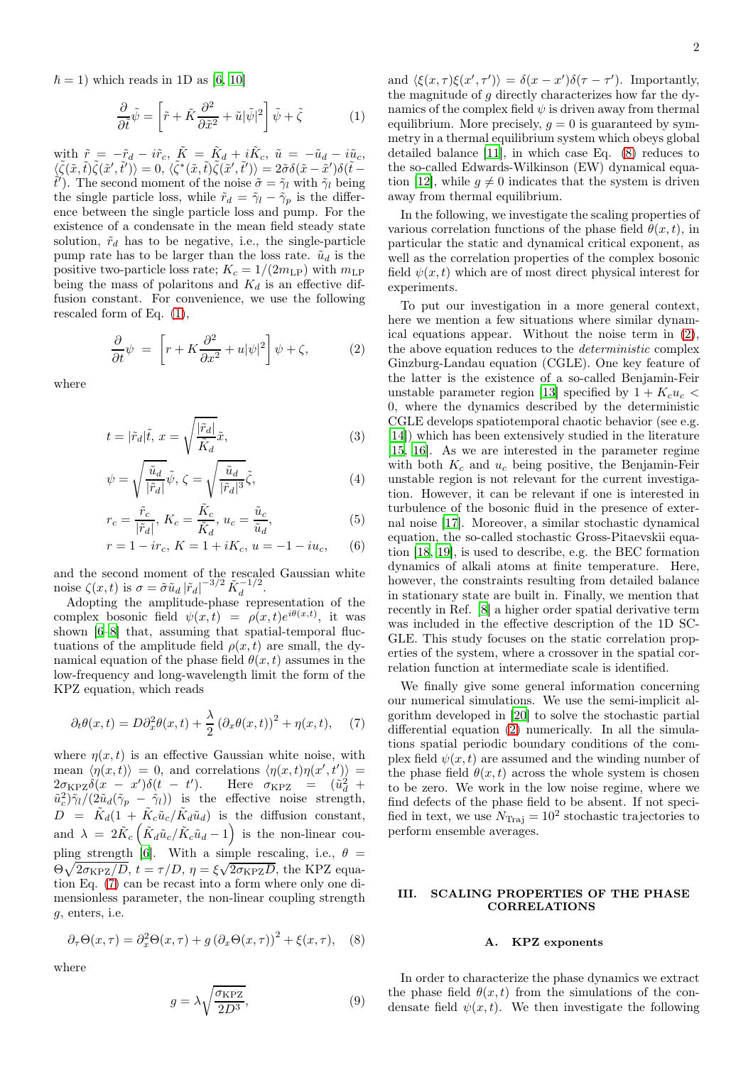$\hbar = 1$ ) which reads in 1D as [\[6,](#page-6-4) [10\]](#page-6-9)

<span id="page-1-0"></span>
$$
\frac{\partial}{\partial \tilde{t}}\tilde{\psi} = \left[\tilde{r} + \tilde{K}\frac{\partial^2}{\partial \tilde{x}^2} + \tilde{u}|\tilde{\psi}|^2\right]\tilde{\psi} + \tilde{\zeta}
$$
 (1)

with  $\tilde{r} = -\tilde{r}_d - i\tilde{r}_c$ ,  $\tilde{K} = \tilde{K}_d + i\tilde{K}_c$ ,  $\tilde{u} = -\tilde{u}_d - i\tilde{u}_c$ ,  $\langle \widetilde{\zeta}(\tilde{x},\tilde{t}) \tilde{\zeta}(\tilde{x}',\tilde{t}') \rangle = 0, \ \langle \tilde{\zeta}^*(\tilde{x},\tilde{t}) \tilde{\zeta}(\tilde{x}',\tilde{t}') \rangle = 2 \tilde{\sigma} \delta(\tilde{x}-\tilde{x}') \delta(\tilde{t}-\tilde{x}')$  $\tilde{t}'$ ). The second moment of the noise  $\tilde{\sigma} = \tilde{\gamma}_l$  with  $\tilde{\gamma}_l$  being the single particle loss, while  $\tilde{r}_d = \tilde{\gamma}_l - \tilde{\gamma}_p$  is the difference between the single particle loss and pump. For the existence of a condensate in the mean field steady state solution,  $\tilde{r}_d$  has to be negative, i.e., the single-particle pump rate has to be larger than the loss rate.  $\tilde{u}_d$  is the positive two-particle loss rate;  $K_c = 1/(2m_{\text{LP}})$  with  $m_{\text{LP}}$ being the mass of polaritons and  $K_d$  is an effective diffusion constant. For convenience, we use the following rescaled form of Eq. [\(1\)](#page-1-0),

<span id="page-1-3"></span>
$$
\frac{\partial}{\partial t}\psi = \left[r + K\frac{\partial^2}{\partial x^2} + u|\psi|^2\right]\psi + \zeta,\tag{2}
$$

where

$$
t = |\tilde{r}_d|\tilde{t}, \, x = \sqrt{\frac{|\tilde{r}_d|}{\tilde{K}_d}}\tilde{x},\tag{3}
$$

$$
\psi = \sqrt{\frac{\tilde{u}_d}{|\tilde{r}_d|}} \tilde{\psi}, \ \zeta = \sqrt{\frac{\tilde{u}_d}{|\tilde{r}_d|^3}} \tilde{\zeta}, \tag{4}
$$

$$
r_c = \frac{\tilde{r}_c}{|\tilde{r}_d|}, \ K_c = \frac{\tilde{K}_c}{\tilde{K}_d}, \ u_c = \frac{\tilde{u}_c}{\tilde{u}_d}, \tag{5}
$$

$$
r = 1 - ir_c, K = 1 + iK_c, u = -1 - iu_c,
$$
 (6)

and the second moment of the rescaled Gaussian white noise  $\zeta(x,t)$  is  $\sigma = \tilde{\sigma} \tilde{u}_d |\tilde{r}_d|^{-3/2} \tilde{K}_d^{-1/2}$ .

Adopting the amplitude-phase representation of the complex bosonic field  $\psi(x,t) = \rho(x,t)e^{i\theta(x,t)}$ , it was shown [\[6](#page-6-4)[–8\]](#page-6-6) that, assuming that spatial-temporal fluctuations of the amplitude field  $\rho(x, t)$  are small, the dynamical equation of the phase field  $\theta(x, t)$  assumes in the low-frequency and long-wavelength limit the form of the KPZ equation, which reads

<span id="page-1-1"></span>
$$
\partial_t \theta(x,t) = D \partial_x^2 \theta(x,t) + \frac{\lambda}{2} \left( \partial_x \theta(x,t) \right)^2 + \eta(x,t), \quad (7)
$$

where  $n(x, t)$  is an effective Gaussian white noise, with mean  $\langle \eta(x,t) \rangle = 0$ , and correlations  $\langle \eta(x,t) \eta(x',t') \rangle =$  $2\sigma_{KPZ}\delta(x - x')\delta(t - t')$ . Here  $\sigma_{KPZ} = (\tilde{u}_d^2 +$  $\tilde{u}_c^2 \tilde{\gamma}_l/(2\tilde{u}_d(\tilde{\gamma}_p - \tilde{\gamma}_l))$  is the effective noise strength,  $D = \tilde{K}_d(1 + \tilde{K}_c \tilde{u}_c / \tilde{K}_d \tilde{u}_d)$  is the diffusion constant, and  $\lambda = 2 \tilde{K}_c \left( \tilde{K}_d \tilde{u}_c / \tilde{K}_c \tilde{u}_d - 1 \right)$  is the non-linear cou-pling strength [\[6\]](#page-6-4). With a simple rescaling, i.e.,  $\theta =$  $\Theta \sqrt{2 \sigma_{\text{KPZ}}/D}$ ,  $t = \tau/D$ ,  $\eta = \xi \sqrt{2 \sigma_{\text{KPZ}}D}$ , the KPZ equation Eq. [\(7\)](#page-1-1) can be recast into a form where only one dimensionless parameter, the non-linear coupling strength g, enters, i.e.

<span id="page-1-2"></span>
$$
\partial_{\tau} \Theta(x,\tau) = \partial_x^2 \Theta(x,\tau) + g \left( \partial_x \Theta(x,\tau) \right)^2 + \xi(x,\tau), \quad (8)
$$

where

$$
g = \lambda \sqrt{\frac{\sigma_{\rm KPZ}}{2D^3}},\tag{9}
$$

and  $\langle \xi(x,\tau)\xi(x',\tau')\rangle = \delta(x-x')\delta(\tau-\tau')$ . Importantly, the magnitude of g directly characterizes how far the dynamics of the complex field  $\psi$  is driven away from thermal equilibrium. More precisely,  $q = 0$  is guaranteed by symmetry in a thermal equilibrium system which obeys global detailed balance [\[11\]](#page-6-10), in which case Eq. [\(8\)](#page-1-2) reduces to the so-called Edwards-Wilkinson (EW) dynamical equa-tion [\[12\]](#page-6-11), while  $q \neq 0$  indicates that the system is driven away from thermal equilibrium.

In the following, we investigate the scaling properties of various correlation functions of the phase field  $\theta(x, t)$ , in particular the static and dynamical critical exponent, as well as the correlation properties of the complex bosonic field  $\psi(x, t)$  which are of most direct physical interest for experiments.

To put our investigation in a more general context, here we mention a few situations where similar dynamical equations appear. Without the noise term in [\(2\)](#page-1-3), the above equation reduces to the deterministic complex Ginzburg-Landau equation (CGLE). One key feature of the latter is the existence of a so-called Benjamin-Feir unstable parameter region [\[13\]](#page-6-12) specified by  $1 + K_c u_c$ 0, where the dynamics described by the deterministic CGLE develops spatiotemporal chaotic behavior (see e.g. [\[14](#page-6-13)]) which has been extensively studied in the literature [\[15](#page-6-14), [16](#page-6-15)]. As we are interested in the parameter regime with both  $K_c$  and  $u_c$  being positive, the Benjamin-Feir unstable region is not relevant for the current investigation. However, it can be relevant if one is interested in turbulence of the bosonic fluid in the presence of external noise [\[17\]](#page-6-16). Moreover, a similar stochastic dynamical equation, the so-called stochastic Gross-Pitaevskii equation [\[18,](#page-6-17) [19\]](#page-6-18), is used to describe, e.g. the BEC formation dynamics of alkali atoms at finite temperature. Here, however, the constraints resulting from detailed balance in stationary state are built in. Finally, we mention that recently in Ref. [\[8](#page-6-6)] a higher order spatial derivative term was included in the effective description of the 1D SC-GLE. This study focuses on the static correlation properties of the system, where a crossover in the spatial correlation function at intermediate scale is identified.

We finally give some general information concerning our numerical simulations. We use the semi-implicit algorithm developed in [\[20](#page-6-19)] to solve the stochastic partial differential equation [\(2\)](#page-1-3) numerically. In all the simulations spatial periodic boundary conditions of the complex field  $\psi(x, t)$  are assumed and the winding number of the phase field  $\theta(x, t)$  across the whole system is chosen to be zero. We work in the low noise regime, where we find defects of the phase field to be absent. If not specified in text, we use  $N_{\text{Traj}} = 10^2$  stochastic trajectories to perform ensemble averages.

# <span id="page-1-4"></span>III. SCALING PROPERTIES OF THE PHASE **CORRELATIONS**

### A. KPZ exponents

In order to characterize the phase dynamics we extract the phase field  $\theta(x, t)$  from the simulations of the condensate field  $\psi(x, t)$ . We then investigate the following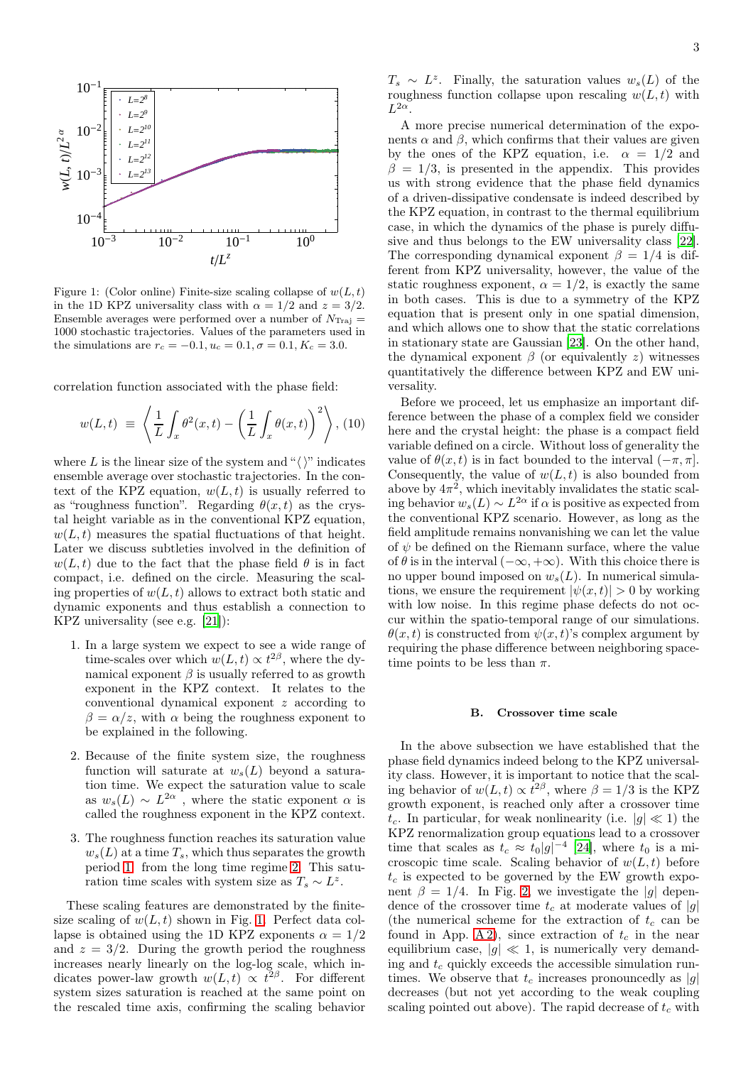

<span id="page-2-0"></span>Figure 1: (Color online) Finite-size scaling collapse of  $w(L, t)$ in the 1D KPZ universality class with  $\alpha = 1/2$  and  $z = 3/2$ . Ensemble averages were performed over a number of  $N_{\text{Traj}} =$ 1000 stochastic trajectories. Values of the parameters used in the simulations are  $r_c = -0.1, u_c = 0.1, \sigma = 0.1, K_c = 3.0$ .

correlation function associated with the phase field:

$$
w(L,t) \equiv \left\langle \frac{1}{L} \int_x \theta^2(x,t) - \left(\frac{1}{L} \int_x \theta(x,t)\right)^2 \right\rangle, (10)
$$

where L is the linear size of the system and " $\langle \rangle$ " indicates ensemble average over stochastic trajectories. In the context of the KPZ equation,  $w(L, t)$  is usually referred to as "roughness function". Regarding  $\theta(x,t)$  as the crystal height variable as in the conventional KPZ equation,  $w(L, t)$  measures the spatial fluctuations of that height. Later we discuss subtleties involved in the definition of  $w(L, t)$  due to the fact that the phase field  $\theta$  is in fact compact, i.e. defined on the circle. Measuring the scaling properties of  $w(L, t)$  allows to extract both static and dynamic exponents and thus establish a connection to KPZ universality (see e.g. [\[21](#page-6-20)]):

- <span id="page-2-1"></span>1. In a large system we expect to see a wide range of time-scales over which  $w(L, t) \propto t^{2\beta}$ , where the dynamical exponent  $\beta$  is usually referred to as growth exponent in the KPZ context. It relates to the conventional dynamical exponent z according to  $\beta = \alpha/z$ , with  $\alpha$  being the roughness exponent to be explained in the following.
- <span id="page-2-2"></span>2. Because of the finite system size, the roughness function will saturate at  $w_s(L)$  beyond a saturation time. We expect the saturation value to scale as  $w_s(L) \sim L^{2\alpha}$ , where the static exponent  $\alpha$  is called the roughness exponent in the KPZ context.
- 3. The roughness function reaches its saturation value  $w_s(L)$  at a time  $T_s$ , which thus separates the growth period [1.](#page-2-1) from the long time regime [2.](#page-2-2) This saturation time scales with system size as  $T_s \sim L^z$ .

These scaling features are demonstrated by the finitesize scaling of  $w(L, t)$  shown in Fig. [1.](#page-2-0) Perfect data collapse is obtained using the 1D KPZ exponents  $\alpha = 1/2$ and  $z = 3/2$ . During the growth period the roughness increases nearly linearly on the log-log scale, which indicates power-law growth  $w(L, t) \propto t^{2\beta}$ . For different system sizes saturation is reached at the same point on the rescaled time axis, confirming the scaling behavior

 $T_s \sim L^z$ . Finally, the saturation values  $w_s(L)$  of the roughness function collapse upon rescaling  $w(L, t)$  with  $L^{2\alpha}$ .

A more precise numerical determination of the exponents  $\alpha$  and  $\beta$ , which confirms that their values are given by the ones of the KPZ equation, i.e.  $\alpha = 1/2$  and  $\beta = 1/3$ , is presented in the appendix. This provides us with strong evidence that the phase field dynamics of a driven-dissipative condensate is indeed described by the KPZ equation, in contrast to the thermal equilibrium case, in which the dynamics of the phase is purely diffusive and thus belongs to the EW universality class [\[22](#page-6-21)]. The corresponding dynamical exponent  $\beta = 1/4$  is different from KPZ universality, however, the value of the static roughness exponent,  $\alpha = 1/2$ , is exactly the same in both cases. This is due to a symmetry of the KPZ equation that is present only in one spatial dimension, and which allows one to show that the static correlations in stationary state are Gaussian [\[23](#page-6-22)]. On the other hand, the dynamical exponent  $\beta$  (or equivalently z) witnesses quantitatively the difference between KPZ and EW universality.

Before we proceed, let us emphasize an important difference between the phase of a complex field we consider here and the crystal height: the phase is a compact field variable defined on a circle. Without loss of generality the value of  $\theta(x, t)$  is in fact bounded to the interval  $(-\pi, \pi]$ . Consequently, the value of  $w(L, t)$  is also bounded from above by  $4\pi^2$ , which inevitably invalidates the static scaling behavior  $w_s(L) \sim L^{2\alpha}$  if  $\alpha$  is positive as expected from the conventional KPZ scenario. However, as long as the field amplitude remains nonvanishing we can let the value of  $\psi$  be defined on the Riemann surface, where the value of  $\theta$  is in the interval  $(-\infty, +\infty)$ . With this choice there is no upper bound imposed on  $w_s(L)$ . In numerical simulations, we ensure the requirement  $|\psi(x, t)| > 0$  by working with low noise. In this regime phase defects do not occur within the spatio-temporal range of our simulations.  $\theta(x, t)$  is constructed from  $\psi(x, t)$ 's complex argument by requiring the phase difference between neighboring spacetime points to be less than  $\pi$ .

### <span id="page-2-3"></span>B. Crossover time scale

In the above subsection we have established that the phase field dynamics indeed belong to the KPZ universality class. However, it is important to notice that the scaling behavior of  $w(L, t) \propto t^{2\beta}$ , where  $\beta = 1/3$  is the KPZ growth exponent, is reached only after a crossover time  $t_c$ . In particular, for weak nonlinearity (i.e.  $|g| \ll 1$ ) the KPZ renormalization group equations lead to a crossover time that scales as  $t_c \approx t_0 |g|^{-4}$  [\[24\]](#page-6-23), where  $t_0$  is a microscopic time scale. Scaling behavior of  $w(L, t)$  before  $t_c$  is expected to be governed by the EW growth exponent  $\beta = 1/4$ . In Fig. [2,](#page-3-0) we investigate the |g| dependence of the crossover time  $t_c$  at moderate values of |g| (the numerical scheme for the extraction of  $t_c$  can be found in App. [A 2\)](#page-5-1), since extraction of  $t_c$  in the near equilibrium case,  $|q| \ll 1$ , is numerically very demanding and  $t_c$  quickly exceeds the accessible simulation runtimes. We observe that  $t_c$  increases pronouncedly as |g| decreases (but not yet according to the weak coupling scaling pointed out above). The rapid decrease of  $t_c$  with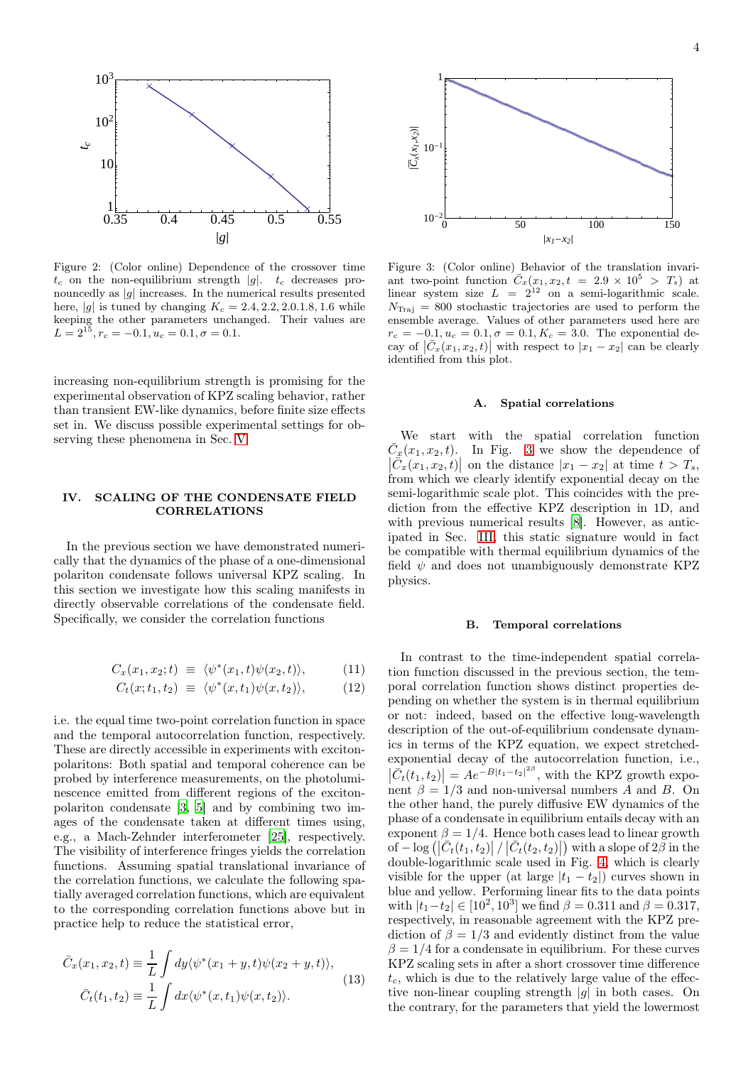

<span id="page-3-0"></span>Figure 2: (Color online) Dependence of the crossover time  $t_c$  on the non-equilibrium strength |g|.  $t_c$  decreases pronouncedly as  $|g|$  increases. In the numerical results presented here, |g| is tuned by changing  $K_c = 2.4, 2.2, 2.0.1.8, 1.6$  while keeping the other parameters unchanged. Their values are  $L = 2^{15}, r_c = -0.1, u_c = 0.1, \sigma = 0.1.$ 

increasing non-equilibrium strength is promising for the experimental observation of KPZ scaling behavior, rather than transient EW-like dynamics, before finite size effects set in. We discuss possible experimental settings for observing these phenomena in Sec. [V.](#page-4-2)

# IV. SCALING OF THE CONDENSATE FIELD CORRELATIONS

In the previous section we have demonstrated numerically that the dynamics of the phase of a one-dimensional polariton condensate follows universal KPZ scaling. In this section we investigate how this scaling manifests in directly observable correlations of the condensate field. Specifically, we consider the correlation functions

$$
C_x(x_1, x_2; t) \equiv \langle \psi^*(x_1, t) \psi(x_2, t) \rangle, \qquad (11)
$$

$$
C_t(x;t_1,t_2) \equiv \langle \psi^*(x,t_1)\psi(x,t_2) \rangle, \qquad (12)
$$

i.e. the equal time two-point correlation function in space and the temporal autocorrelation function, respectively. These are directly accessible in experiments with excitonpolaritons: Both spatial and temporal coherence can be probed by interference measurements, on the photoluminescence emitted from different regions of the excitonpolariton condensate [\[3](#page-6-2), [5](#page-6-3)] and by combining two images of the condensate taken at different times using, e.g., a Mach-Zehnder interferometer [\[25](#page-6-24)], respectively. The visibility of interference fringes yields the correlation functions. Assuming spatial translational invariance of the correlation functions, we calculate the following spatially averaged correlation functions, which are equivalent to the corresponding correlation functions above but in practice help to reduce the statistical error,

$$
\bar{C}_x(x_1, x_2, t) \equiv \frac{1}{L} \int dy \langle \psi^*(x_1 + y, t) \psi(x_2 + y, t) \rangle,
$$
\n
$$
\bar{C}_t(t_1, t_2) \equiv \frac{1}{L} \int dx \langle \psi^*(x, t_1) \psi(x, t_2) \rangle.
$$
\n(13)



<span id="page-3-1"></span>Figure 3: (Color online) Behavior of the translation invariant two-point function  $\overline{C}_x(x_1, x_2, t = 2.9 \times 10^5 > T_s)$  at linear system size  $L = 2^{12}$  on a semi-logarithmic scale.  $N_{\text{Traj}} = 800$  stochastic trajectories are used to perform the ensemble average. Values of other parameters used here are  $r_c = -0.1, u_c = 0.1, \sigma = 0.1, K_c = 3.0$ . The exponential decay of  $|\bar{C}_x(x_1, x_2, t)|$  with respect to  $|x_1 - x_2|$  can be clearly identified from this plot.

### A. Spatial correlations

We start with the spatial correlation function  $\overline{C}_x(x_1, x_2, t)$ . In Fig. [3](#page-3-1) we show the dependence of  $\left|\overline{C}_x(x_1, x_2, t)\right|$  on the distance  $|x_1 - x_2|$  at time  $t > T_s$ , from which we clearly identify exponential decay on the semi-logarithmic scale plot. This coincides with the prediction from the effective KPZ description in 1D, and with previous numerical results [\[8\]](#page-6-6). However, as anticipated in Sec. [III,](#page-1-4) this static signature would in fact be compatible with thermal equilibrium dynamics of the field  $\psi$  and does not unambiguously demonstrate KPZ physics.

### B. Temporal correlations

In contrast to the time-independent spatial correlation function discussed in the previous section, the temporal correlation function shows distinct properties depending on whether the system is in thermal equilibrium or not: indeed, based on the effective long-wavelength description of the out-of-equilibrium condensate dynamics in terms of the KPZ equation, we expect stretchedexponential decay of the autocorrelation function, i.e.,  $|\overline{C}_t(t_1, t_2)| = Ae^{-B|t_1-t_2|^2\beta}$ , with the KPZ growth exponent  $\beta = 1/3$  and non-universal numbers A and B. On the other hand, the purely diffusive EW dynamics of the phase of a condensate in equilibrium entails decay with an exponent  $\beta = 1/4$ . Hence both cases lead to linear growth of  $-\log\left(\left|\bar{C}_t(t_1,t_2)\right|/\left|\bar{C}_t(t_2,t_2)\right|\right)$  with a slope of  $2\beta$  in the double-logarithmic scale used in Fig. [4,](#page-4-0) which is clearly visible for the upper (at large  $|t_1 - t_2|$ ) curves shown in blue and yellow. Performing linear fits to the data points with  $|t_1-t_2| \in [10^2, 10^3]$  we find  $\beta = 0.311$  and  $\beta = 0.317$ , respectively, in reasonable agreement with the KPZ prediction of  $\beta = 1/3$  and evidently distinct from the value  $\beta = 1/4$  for a condensate in equilibrium. For these curves KPZ scaling sets in after a short crossover time difference  $t_c$ , which is due to the relatively large value of the effective non-linear coupling strength  $|g|$  in both cases. On the contrary, for the parameters that yield the lowermost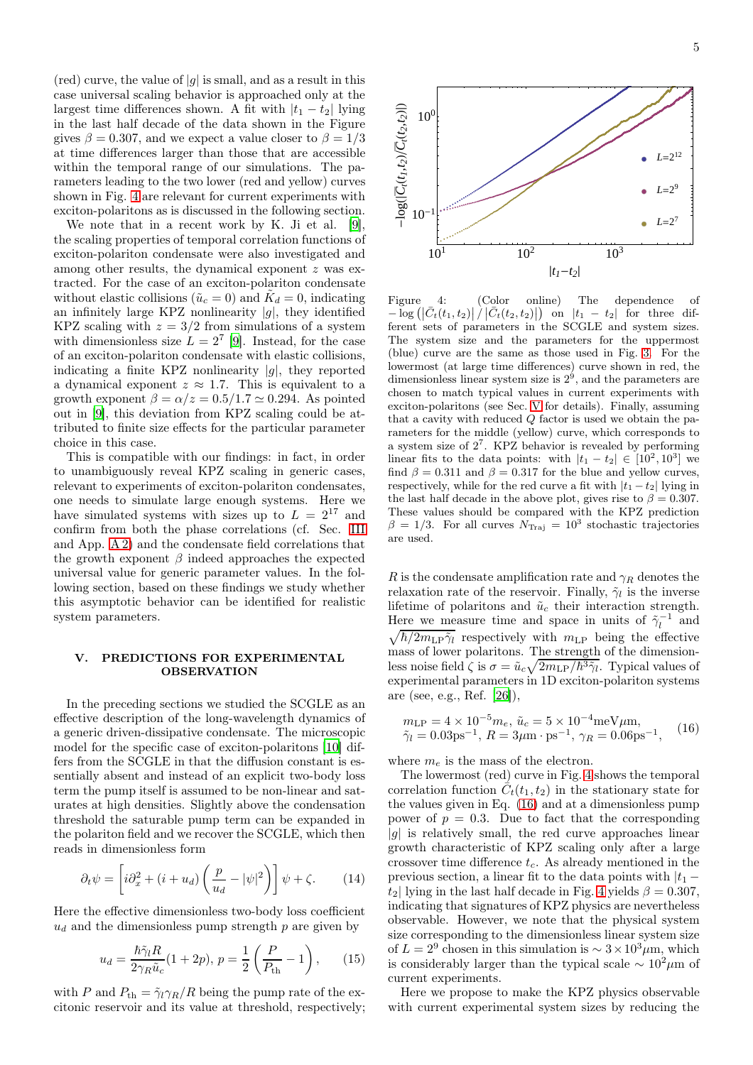$(\text{red})$  curve, the value of  $|g|$  is small, and as a result in this case universal scaling behavior is approached only at the largest time differences shown. A fit with  $|t_1 - t_2|$  lying in the last half decade of the data shown in the Figure gives  $\beta = 0.307$ , and we expect a value closer to  $\beta = 1/3$ at time differences larger than those that are accessible within the temporal range of our simulations. The parameters leading to the two lower (red and yellow) curves shown in Fig. [4](#page-4-0) are relevant for current experiments with exciton-polaritons as is discussed in the following section.

We note that in a recent work by K. Ji et al. [\[9](#page-6-7)], the scaling properties of temporal correlation functions of exciton-polariton condensate were also investigated and among other results, the dynamical exponent z was extracted. For the case of an exciton-polariton condensate without elastic collisions ( $\tilde{u}_c = 0$ ) and  $\tilde{K}_d = 0$ , indicating an infinitely large KPZ nonlinearity  $|g|$ , they identified KPZ scaling with  $z = 3/2$  from simulations of a system with dimensionless size  $L = 2^7$  [\[9\]](#page-6-7). Instead, for the case of an exciton-polariton condensate with elastic collisions, indicating a finite KPZ nonlinearity  $|g|$ , they reported a dynamical exponent  $z \approx 1.7$ . This is equivalent to a growth exponent  $\beta = \alpha/z = 0.5/1.7 \simeq 0.294$ . As pointed out in [\[9\]](#page-6-7), this deviation from KPZ scaling could be attributed to finite size effects for the particular parameter choice in this case.

This is compatible with our findings: in fact, in order to unambiguously reveal KPZ scaling in generic cases, relevant to experiments of exciton-polariton condensates, one needs to simulate large enough systems. Here we have simulated systems with sizes up to  $L = 2^{17}$  and confirm from both the phase correlations (cf. Sec. [III](#page-1-4) and App. [A 2\)](#page-5-1) and the condensate field correlations that the growth exponent  $\beta$  indeed approaches the expected universal value for generic parameter values. In the following section, based on these findings we study whether this asymptotic behavior can be identified for realistic system parameters.

# <span id="page-4-2"></span>V. PREDICTIONS FOR EXPERIMENTAL OBSERVATION

In the preceding sections we studied the SCGLE as an effective description of the long-wavelength dynamics of a generic driven-dissipative condensate. The microscopic model for the specific case of exciton-polaritons [\[10\]](#page-6-9) differs from the SCGLE in that the diffusion constant is essentially absent and instead of an explicit two-body loss term the pump itself is assumed to be non-linear and saturates at high densities. Slightly above the condensation threshold the saturable pump term can be expanded in the polariton field and we recover the SCGLE, which then reads in dimensionless form

<span id="page-4-1"></span>
$$
\partial_t \psi = \left[ i \partial_x^2 + (i + u_d) \left( \frac{p}{u_d} - |\psi|^2 \right) \right] \psi + \zeta. \tag{14}
$$

Here the effective dimensionless two-body loss coefficient  $u_d$  and the dimensionless pump strength p are given by

<span id="page-4-4"></span>
$$
u_d = \frac{\hbar \tilde{\gamma}_l R}{2\gamma_R \tilde{u}_c} (1 + 2p), \, p = \frac{1}{2} \left( \frac{P}{P_{\text{th}}} - 1 \right), \qquad (15)
$$

with P and  $P_{\text{th}} = \tilde{\gamma}_l \gamma_R / R$  being the pump rate of the excitonic reservoir and its value at threshold, respectively;



<span id="page-4-0"></span>Figure 4: (Color online) The dependence of  $-\log\left(\left|\bar{C}_t(t_1,t_2)\right|\right)/\left|\bar{C}_t(t_2,t_2)\right|$  on  $|t_1-t_2|$  for three different sets of parameters in the SCGLE and system sizes. The system size and the parameters for the uppermost (blue) curve are the same as those used in Fig. [3.](#page-3-1) For the lowermost (at large time differences) curve shown in red, the dimensionless linear system size is  $2<sup>9</sup>$ , and the parameters are chosen to match typical values in current experiments with exciton-polaritons (see Sec. [V](#page-4-2) for details). Finally, assuming that a cavity with reduced  $Q$  factor is used we obtain the parameters for the middle (yellow) curve, which corresponds to a system size of  $2^7$ . KPZ behavior is revealed by performing linear fits to the data points: with  $|t_1 - t_2| \in [10^2, 10^3]$  we find  $\beta = 0.311$  and  $\beta = 0.317$  for the blue and yellow curves, respectively, while for the red curve a fit with  $|t_1 - t_2|$  lying in the last half decade in the above plot, gives rise to  $\beta = 0.307$ . These values should be compared with the KPZ prediction  $\beta = 1/3$ . For all curves  $N_{\text{Traj}} = 10^3$  stochastic trajectories are used.

R is the condensate amplification rate and  $\gamma_R$  denotes the relaxation rate of the reservoir. Finally,  $\tilde{\gamma}_l$  is the inverse lifetime of polaritons and  $\tilde{u}_c$  their interaction strength. Here we measure time and space in units of  $\tilde{\gamma}_l^{-1}$  and  $\sqrt{\hbar/2m_{\mathrm{LP}}\tilde{\gamma}_l}$  respectively with  $m_{\mathrm{LP}}$  being the effective mass of lower polaritons. The strength of the dimensionless noise field  $\zeta$  is  $\sigma = \tilde{u}_c \sqrt{2m_{\rm LP}/\hbar^3} \tilde{\gamma}_l$ . Typical values of experimental parameters in 1D exciton-polariton systems are (see, e.g., Ref. [\[26\]](#page-6-25)),

<span id="page-4-3"></span>
$$
m_{\text{LP}} = 4 \times 10^{-5} m_e, \tilde{u}_c = 5 \times 10^{-4} \text{meV} \mu \text{m}, \tilde{\gamma}_l = 0.03 \text{ps}^{-1}, R = 3 \mu \text{m} \cdot \text{ps}^{-1}, \gamma_R = 0.06 \text{ps}^{-1},
$$
 (16)

where  $m_e$  is the mass of the electron.

The lowermost (red) curve in Fig. [4](#page-4-0) shows the temporal correlation function  $\tilde{C}_t(t_1, t_2)$  in the stationary state for the values given in Eq. [\(16\)](#page-4-3) and at a dimensionless pump power of  $p = 0.3$ . Due to fact that the corresponding  $|g|$  is relatively small, the red curve approaches linear growth characteristic of KPZ scaling only after a large crossover time difference  $t_c$ . As already mentioned in the previous section, a linear fit to the data points with  $|t_1$  $t_2$ | lying in the last half decade in Fig. [4](#page-4-0) yields  $\beta = 0.307$ , indicating that signatures of KPZ physics are nevertheless observable. However, we note that the physical system size corresponding to the dimensionless linear system size of  $L = 2^9$  chosen in this simulation is  $\sim 3 \times 10^3 \mu$ m, which is considerably larger than the typical scale  $\sim 10^2 \mu m$  of current experiments.

Here we propose to make the KPZ physics observable with current experimental system sizes by reducing the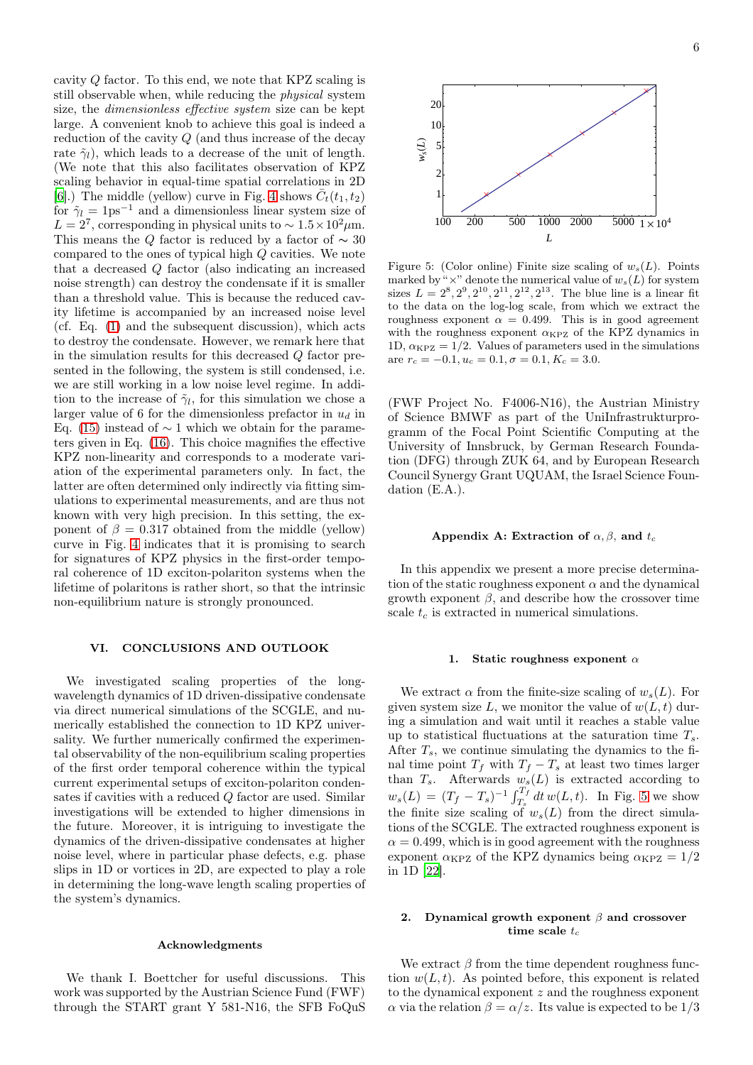cavity Q factor. To this end, we note that KPZ scaling is still observable when, while reducing the physical system size, the dimensionless effective system size can be kept large. A convenient knob to achieve this goal is indeed a reduction of the cavity Q (and thus increase of the decay rate  $\tilde{\gamma}_l$ ), which leads to a decrease of the unit of length. (We note that this also facilitates observation of KPZ scaling behavior in equal-time spatial correlations in 2D [\[6](#page-6-4)].) The middle (yellow) curve in Fig. [4](#page-4-0) shows  $\bar{C}_t(t_1, t_2)$ for  $\tilde{\gamma}_l = 1 \text{ps}^{-1}$  and a dimensionless linear system size of  $L = 2^7$ , corresponding in physical units to ~  $1.5 \times 10^2 \mu$ m. This means the  $Q$  factor is reduced by a factor of  $\sim 30$ compared to the ones of typical high Q cavities. We note that a decreased Q factor (also indicating an increased noise strength) can destroy the condensate if it is smaller than a threshold value. This is because the reduced cavity lifetime is accompanied by an increased noise level (cf. Eq. [\(1\)](#page-1-0) and the subsequent discussion), which acts to destroy the condensate. However, we remark here that in the simulation results for this decreased Q factor presented in the following, the system is still condensed, i.e. we are still working in a low noise level regime. In addition to the increase of  $\tilde{\gamma}_l$ , for this simulation we chose a larger value of 6 for the dimensionless prefactor in  $u_d$  in Eq. [\(15\)](#page-4-4) instead of  $\sim$  1 which we obtain for the parameters given in Eq. [\(16\)](#page-4-3). This choice magnifies the effective KPZ non-linearity and corresponds to a moderate variation of the experimental parameters only. In fact, the latter are often determined only indirectly via fitting simulations to experimental measurements, and are thus not known with very high precision. In this setting, the exponent of  $\beta = 0.317$  obtained from the middle (yellow) curve in Fig. [4](#page-4-0) indicates that it is promising to search for signatures of KPZ physics in the first-order temporal coherence of 1D exciton-polariton systems when the lifetime of polaritons is rather short, so that the intrinsic non-equilibrium nature is strongly pronounced.

# VI. CONCLUSIONS AND OUTLOOK

We investigated scaling properties of the longwavelength dynamics of 1D driven-dissipative condensate via direct numerical simulations of the SCGLE, and numerically established the connection to 1D KPZ universality. We further numerically confirmed the experimental observability of the non-equilibrium scaling properties of the first order temporal coherence within the typical current experimental setups of exciton-polariton condensates if cavities with a reduced Q factor are used. Similar investigations will be extended to higher dimensions in the future. Moreover, it is intriguing to investigate the dynamics of the driven-dissipative condensates at higher noise level, where in particular phase defects, e.g. phase slips in 1D or vortices in 2D, are expected to play a role in determining the long-wave length scaling properties of the system's dynamics.

# Acknowledgments

We thank I. Boettcher for useful discussions. This work was supported by the Austrian Science Fund (FWF) through the START grant Y 581-N16, the SFB FoQuS



<span id="page-5-0"></span>Figure 5: (Color online) Finite size scaling of  $w_s(L)$ . Points marked by " $\times$ " denote the numerical value of  $w_s(L)$  for system sizes  $L = 2^8, 2^9, 2^{10}, 2^{11}, 2^{12}, 2^{13}$ . The blue line is a linear fit to the data on the log-log scale, from which we extract the roughness exponent  $\alpha = 0.499$ . This is in good agreement with the roughness exponent  $\alpha_{KPZ}$  of the KPZ dynamics in 1D,  $\alpha_{\text{KPZ}} = 1/2$ . Values of parameters used in the simulations are  $r_c = -0.1, u_c = 0.1, \sigma = 0.1, K_c = 3.0$ .

(FWF Project No. F4006-N16), the Austrian Ministry of Science BMWF as part of the UniInfrastrukturprogramm of the Focal Point Scientific Computing at the University of Innsbruck, by German Research Foundation (DFG) through ZUK 64, and by European Research Council Synergy Grant UQUAM, the Israel Science Foundation (E.A.).

### Appendix A: Extraction of  $\alpha, \beta$ , and  $t_c$

In this appendix we present a more precise determination of the static roughness exponent  $\alpha$  and the dynamical growth exponent  $\beta$ , and describe how the crossover time scale  $t_c$  is extracted in numerical simulations.

### 1. Static roughness exponent  $\alpha$

We extract  $\alpha$  from the finite-size scaling of  $w_s(L)$ . For given system size L, we monitor the value of  $w(L, t)$  during a simulation and wait until it reaches a stable value up to statistical fluctuations at the saturation time  $T_s$ . After  $T_s$ , we continue simulating the dynamics to the final time point  $T_f$  with  $T_f - T_s$  at least two times larger than  $T_s$ . Afterwards  $w_s(L)$  is extracted according to  $w_s(L) = (T_f - T_s)^{-1} \int_{T_s}^{T_f} dt \, w(L, t)$ . In Fig. [5](#page-5-0) we show the finite size scaling of  $w_s(L)$  from the direct simulations of the SCGLE. The extracted roughness exponent is  $\alpha = 0.499$ , which is in good agreement with the roughness exponent  $\alpha_{\text{KPZ}}$  of the KPZ dynamics being  $\alpha_{\text{KPZ}} = 1/2$ in 1D [\[22\]](#page-6-21).

# <span id="page-5-1"></span>2. Dynamical growth exponent  $\beta$  and crossover time scale  $t_c$

We extract  $\beta$  from the time dependent roughness function  $w(L, t)$ . As pointed before, this exponent is related to the dynamical exponent z and the roughness exponent  $\alpha$  via the relation  $\beta = \alpha/z$ . Its value is expected to be 1/3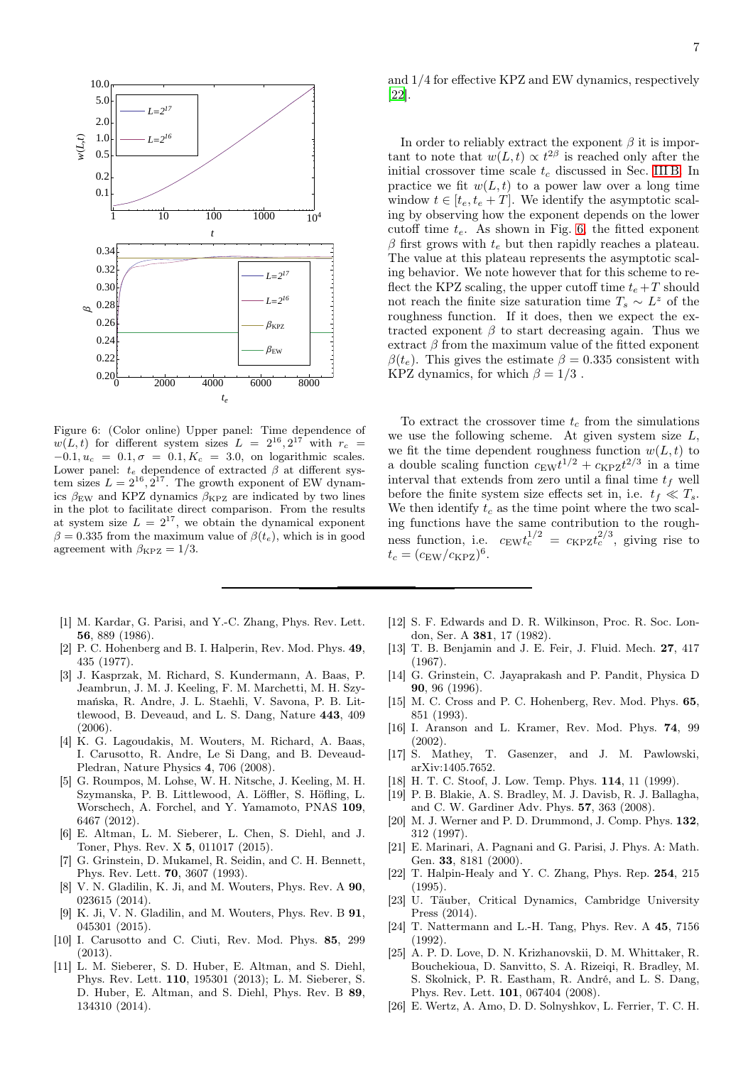

<span id="page-6-8"></span>Figure 6: (Color online) Upper panel: Time dependence of  $w(L, t)$  for different system sizes  $L = 2^{16}, 2^{17}$  with  $r_c =$  $-0.1, u_c = 0.1, \sigma = 0.1, K_c = 3.0,$  on logarithmic scales. Lower panel:  $t_e$  dependence of extracted  $\beta$  at different system sizes  $L = 2^{16}, 2^{17}$ . The growth exponent of EW dynamics  $\beta_{\text{EW}}$  and KPZ dynamics  $\beta_{\text{KPZ}}$  are indicated by two lines in the plot to facilitate direct comparison. From the results at system size  $L = 2^{17}$ , we obtain the dynamical exponent  $\beta = 0.335$  from the maximum value of  $\beta(t_e)$ , which is in good agreement with  $\beta_{\text{KPZ}} = 1/3$ .

- <span id="page-6-0"></span>[1] M. Kardar, G. Parisi, and Y.-C. Zhang, Phys. Rev. Lett. 56, 889 (1986).
- <span id="page-6-1"></span>[2] P. C. Hohenberg and B. I. Halperin, Rev. Mod. Phys. 49, 435 (1977).
- <span id="page-6-2"></span>[3] J. Kasprzak, M. Richard, S. Kundermann, A. Baas, P. Jeambrun, J. M. J. Keeling, F. M. Marchetti, M. H. Szymańska, R. Andre, J. L. Staehli, V. Savona, P. B. Littlewood, B. Deveaud, and L. S. Dang, Nature 443, 409 (2006).
- [4] K. G. Lagoudakis, M. Wouters, M. Richard, A. Baas, I. Carusotto, R. Andre, Le Si Dang, and B. Deveaud-Pledran, Nature Physics 4, 706 (2008).
- <span id="page-6-3"></span>[5] G. Roumpos, M. Lohse, W. H. Nitsche, J. Keeling, M. H. Szymanska, P. B. Littlewood, A. Löffler, S. Höfling, L. Worschech, A. Forchel, and Y. Yamamoto, PNAS 109, 6467 (2012).
- <span id="page-6-4"></span>[6] E. Altman, L. M. Sieberer, L. Chen, S. Diehl, and J. Toner, Phys. Rev. X 5, 011017 (2015).
- <span id="page-6-5"></span>[7] G. Grinstein, D. Mukamel, R. Seidin, and C. H. Bennett, Phys. Rev. Lett. 70, 3607 (1993).
- <span id="page-6-6"></span>[8] V. N. Gladilin, K. Ji, and M. Wouters, Phys. Rev. A  $90$ , 023615 (2014).
- <span id="page-6-7"></span>[9] K. Ji, V. N. Gladilin, and M. Wouters, Phys. Rev. B  $91$ , 045301 (2015).
- <span id="page-6-9"></span>[10] I. Carusotto and C. Ciuti, Rev. Mod. Phys. 85, 299 (2013).
- <span id="page-6-10"></span>[11] L. M. Sieberer, S. D. Huber, E. Altman, and S. Diehl, Phys. Rev. Lett. 110, 195301 (2013); L. M. Sieberer, S. D. Huber, E. Altman, and S. Diehl, Phys. Rev. B 89, 134310 (2014).

and 1/4 for effective KPZ and EW dynamics, respectively [\[22](#page-6-21)].

In order to reliably extract the exponent  $\beta$  it is important to note that  $w(L, t) \propto t^{2\beta}$  is reached only after the initial crossover time scale  $t_c$  discussed in Sec. [III B.](#page-2-3) In practice we fit  $w(L, t)$  to a power law over a long time window  $t \in [t_e, t_e + T]$ . We identify the asymptotic scaling by observing how the exponent depends on the lower cutoff time  $t_e$ . As shown in Fig. [6,](#page-6-8) the fitted exponent β first grows with  $t_e$  but then rapidly reaches a plateau. The value at this plateau represents the asymptotic scaling behavior. We note however that for this scheme to reflect the KPZ scaling, the upper cutoff time  $t_e + T$  should not reach the finite size saturation time  $T_s \sim L^z$  of the roughness function. If it does, then we expect the extracted exponent  $\beta$  to start decreasing again. Thus we extract  $\beta$  from the maximum value of the fitted exponent  $\beta(t_e)$ . This gives the estimate  $\beta = 0.335$  consistent with KPZ dynamics, for which  $\beta = 1/3$ .

To extract the crossover time  $t_c$  from the simulations we use the following scheme. At given system size  $L$ , we fit the time dependent roughness function  $w(L, t)$  to a double scaling function  $c_{\text{EW}}t^{1/2} + c_{\text{KPZ}}t^{2/3}$  in a time interval that extends from zero until a final time  $t_f$  well before the finite system size effects set in, i.e.  $t_f \ll T_s$ . We then identify  $t_c$  as the time point where the two scaling functions have the same contribution to the roughness function, i.e.  $c_{\text{EW}}t_c^{1/2} = c_{\text{KPZ}}t_c^{2/3}$ , giving rise to  $t_c = (c_{\text{EW}}/c_{\text{KPZ}})^6.$ 

- <span id="page-6-11"></span>[12] S. F. Edwards and D. R. Wilkinson, Proc. R. Soc. London, Ser. A 381, 17 (1982).
- <span id="page-6-12"></span>[13] T. B. Benjamin and J. E. Feir, J. Fluid. Mech. 27, 417 (1967).
- <span id="page-6-13"></span>[14] G. Grinstein, C. Jayaprakash and P. Pandit, Physica D 90, 96 (1996).
- <span id="page-6-14"></span>[15] M. C. Cross and P. C. Hohenberg, Rev. Mod. Phys. 65, 851 (1993).
- <span id="page-6-15"></span>[16] I. Aranson and L. Kramer, Rev. Mod. Phys. 74, 99 (2002).
- <span id="page-6-16"></span>[17] S. Mathey, T. Gasenzer, and J. M. Pawlowski, arXiv:1405.7652.
- <span id="page-6-17"></span>[18] H. T. C. Stoof, J. Low. Temp. Phys. 114, 11 (1999).
- <span id="page-6-18"></span>[19] P. B. Blakie, A. S. Bradley, M. J. Davisb, R. J. Ballagha, and C. W. Gardiner Adv. Phys. 57, 363 (2008).
- <span id="page-6-19"></span>[20] M. J. Werner and P. D. Drummond, J. Comp. Phys. 132, 312 (1997).
- <span id="page-6-20"></span>[21] E. Marinari, A. Pagnani and G. Parisi, J. Phys. A: Math. Gen. 33, 8181 (2000).
- <span id="page-6-21"></span>[22] T. Halpin-Healy and Y. C. Zhang, Phys. Rep. 254, 215 (1995).
- <span id="page-6-22"></span>[23] U. Täuber, Critical Dynamics, Cambridge University Press (2014).
- <span id="page-6-23"></span>[24] T. Nattermann and L.-H. Tang, Phys. Rev. A 45, 7156 (1992).
- <span id="page-6-24"></span>[25] A. P. D. Love, D. N. Krizhanovskii, D. M. Whittaker, R. Bouchekioua, D. Sanvitto, S. A. Rizeiqi, R. Bradley, M. S. Skolnick, P. R. Eastham, R. André, and L. S. Dang, Phys. Rev. Lett. 101, 067404 (2008).
- <span id="page-6-25"></span>[26] E. Wertz, A. Amo, D. D. Solnyshkov, L. Ferrier, T. C. H.